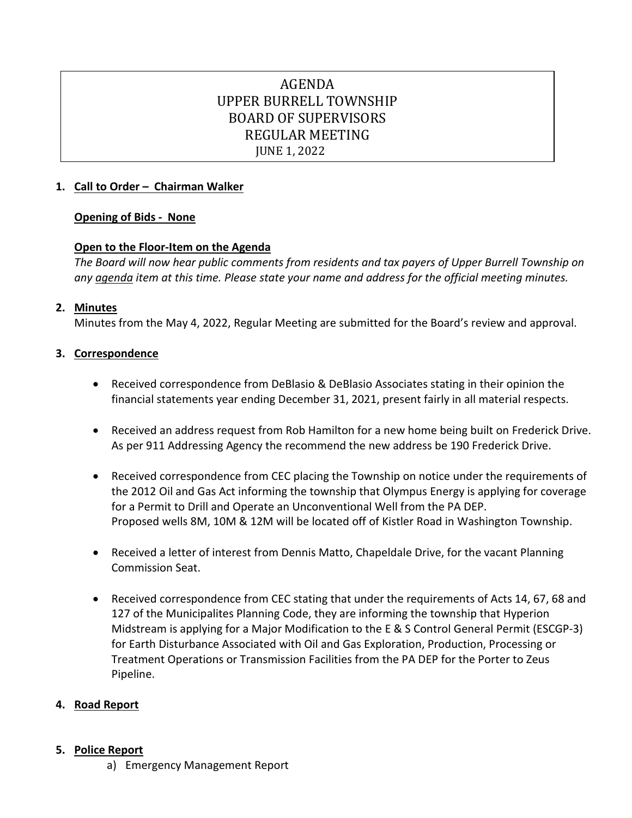# AGENDA UPPER BURRELL TOWNSHIP BOARD OF SUPERVISORS REGULAR MEETING JUNE 1, 2022

# **1. Call to Order – Chairman Walker**

# **Opening of Bids - None**

# **Open to the Floor-Item on the Agenda**

*The Board will now hear public comments from residents and tax payers of Upper Burrell Township on any agenda item at this time. Please state your name and address for the official meeting minutes.*

## **2. Minutes**

Minutes from the May 4, 2022, Regular Meeting are submitted for the Board's review and approval.

## **3. Correspondence**

- Received correspondence from DeBlasio & DeBlasio Associates stating in their opinion the financial statements year ending December 31, 2021, present fairly in all material respects.
- Received an address request from Rob Hamilton for a new home being built on Frederick Drive. As per 911 Addressing Agency the recommend the new address be 190 Frederick Drive.
- Received correspondence from CEC placing the Township on notice under the requirements of the 2012 Oil and Gas Act informing the township that Olympus Energy is applying for coverage for a Permit to Drill and Operate an Unconventional Well from the PA DEP. Proposed wells 8M, 10M & 12M will be located off of Kistler Road in Washington Township.
- Received a letter of interest from Dennis Matto, Chapeldale Drive, for the vacant Planning Commission Seat.
- Received correspondence from CEC stating that under the requirements of Acts 14, 67, 68 and 127 of the Municipalites Planning Code, they are informing the township that Hyperion Midstream is applying for a Major Modification to the E & S Control General Permit (ESCGP-3) for Earth Disturbance Associated with Oil and Gas Exploration, Production, Processing or Treatment Operations or Transmission Facilities from the PA DEP for the Porter to Zeus Pipeline.

# **4. Road Report**

## **5. Police Report**

a) Emergency Management Report